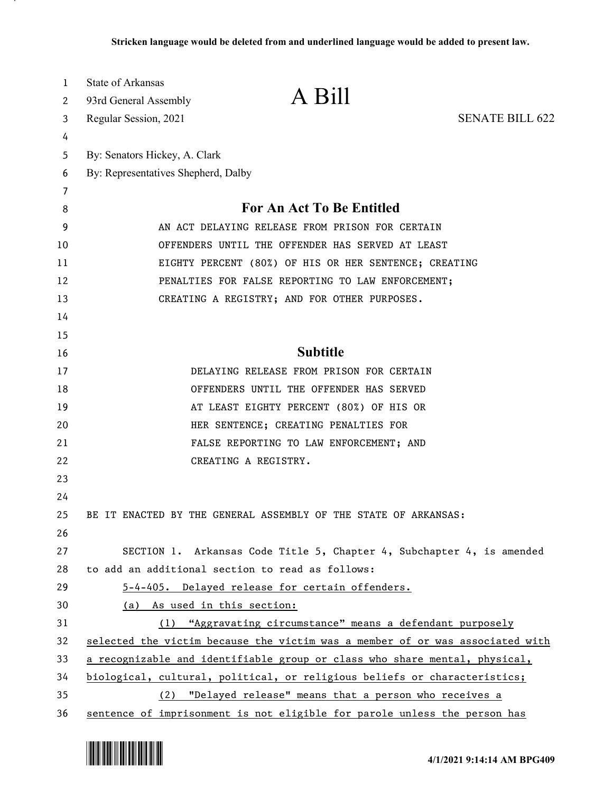| 1  | <b>State of Arkansas</b>            |                                                                               |                        |
|----|-------------------------------------|-------------------------------------------------------------------------------|------------------------|
| 2  | 93rd General Assembly               | A Bill                                                                        |                        |
| 3  | Regular Session, 2021               |                                                                               | <b>SENATE BILL 622</b> |
| 4  |                                     |                                                                               |                        |
| 5  | By: Senators Hickey, A. Clark       |                                                                               |                        |
| 6  | By: Representatives Shepherd, Dalby |                                                                               |                        |
| 7  |                                     |                                                                               |                        |
| 8  |                                     | For An Act To Be Entitled                                                     |                        |
| 9  |                                     | AN ACT DELAYING RELEASE FROM PRISON FOR CERTAIN                               |                        |
| 10 |                                     | OFFENDERS UNTIL THE OFFENDER HAS SERVED AT LEAST                              |                        |
| 11 |                                     | EIGHTY PERCENT (80%) OF HIS OR HER SENTENCE; CREATING                         |                        |
| 12 |                                     | PENALTIES FOR FALSE REPORTING TO LAW ENFORCEMENT;                             |                        |
| 13 |                                     | CREATING A REGISTRY; AND FOR OTHER PURPOSES.                                  |                        |
| 14 |                                     |                                                                               |                        |
| 15 |                                     |                                                                               |                        |
| 16 |                                     | <b>Subtitle</b>                                                               |                        |
| 17 |                                     | DELAYING RELEASE FROM PRISON FOR CERTAIN                                      |                        |
| 18 |                                     | OFFENDERS UNTIL THE OFFENDER HAS SERVED                                       |                        |
| 19 |                                     | AT LEAST EIGHTY PERCENT (80%) OF HIS OR                                       |                        |
| 20 |                                     | HER SENTENCE; CREATING PENALTIES FOR                                          |                        |
| 21 |                                     | FALSE REPORTING TO LAW ENFORCEMENT; AND                                       |                        |
| 22 |                                     | CREATING A REGISTRY.                                                          |                        |
| 23 |                                     |                                                                               |                        |
| 24 |                                     |                                                                               |                        |
| 25 |                                     | BE IT ENACTED BY THE GENERAL ASSEMBLY OF THE STATE OF ARKANSAS:               |                        |
| 26 |                                     |                                                                               |                        |
| 27 |                                     | SECTION 1. Arkansas Code Title 5, Chapter 4, Subchapter 4, is amended         |                        |
| 28 |                                     | to add an additional section to read as follows:                              |                        |
| 29 |                                     | 5-4-405. Delayed release for certain offenders.                               |                        |
| 30 | (a) As used in this section:        |                                                                               |                        |
| 31 |                                     | (1) "Aggravating circumstance" means a defendant purposely                    |                        |
| 32 |                                     | selected the victim because the victim was a member of or was associated with |                        |
| 33 |                                     | a recognizable and identifiable group or class who share mental, physical,    |                        |
| 34 |                                     | biological, cultural, political, or religious beliefs or characteristics;     |                        |
| 35 |                                     | (2) "Delayed release" means that a person who receives a                      |                        |
| 36 |                                     | sentence of imprisonment is not eligible for parole unless the person has     |                        |

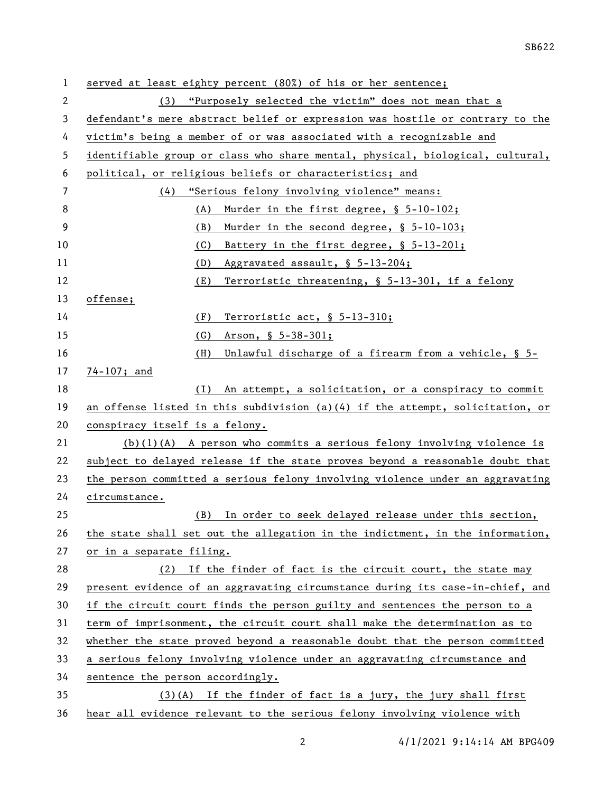| 1  | served at least eighty percent (80%) of his or her sentence;                  |  |  |
|----|-------------------------------------------------------------------------------|--|--|
| 2  | (3) "Purposely selected the victim" does not mean that a                      |  |  |
| 3  | defendant's mere abstract belief or expression was hostile or contrary to the |  |  |
| 4  | victim's being a member of or was associated with a recognizable and          |  |  |
| 5  | identifiable group or class who share mental, physical, biological, cultural, |  |  |
| 6  | political, or religious beliefs or characteristics; and                       |  |  |
| 7  | (4)<br>"Serious felony involving violence" means:                             |  |  |
| 8  | Murder in the first degree, § 5-10-102;<br>(A)                                |  |  |
| 9  | Murder in the second degree, § 5-10-103;<br>(B)                               |  |  |
| 10 | (C)<br>Battery in the first degree, § 5-13-201;                               |  |  |
| 11 | Aggravated assault, § 5-13-204;<br>(D)                                        |  |  |
| 12 | Terroristic threatening, § 5-13-301, if a felony<br>(E)                       |  |  |
| 13 | offense;                                                                      |  |  |
| 14 | (F)<br>Terroristic act, § 5-13-310;                                           |  |  |
| 15 | (G)<br>Arson, § 5-38-301;                                                     |  |  |
| 16 | Unlawful discharge of a firearm from a vehicle, § 5-<br>(H)                   |  |  |
| 17 | $74 - 107$ ; and                                                              |  |  |
| 18 | (I)<br>An attempt, a solicitation, or a conspiracy to commit                  |  |  |
| 19 | an offense listed in this subdivision (a)(4) if the attempt, solicitation, or |  |  |
| 20 | conspiracy itself is a felony.                                                |  |  |
| 21 | $(b)(1)(A)$ A person who commits a serious felony involving violence is       |  |  |
| 22 | subject to delayed release if the state proves beyond a reasonable doubt that |  |  |
| 23 | the person committed a serious felony involving violence under an aggravating |  |  |
| 24 | circumstance.                                                                 |  |  |
| 25 | In order to seek delayed release under this section,<br>(B)                   |  |  |
| 26 | the state shall set out the allegation in the indictment, in the information, |  |  |
| 27 | or in a separate filing.                                                      |  |  |
| 28 | (2) If the finder of fact is the circuit court, the state may                 |  |  |
| 29 | present evidence of an aggravating circumstance during its case-in-chief, and |  |  |
| 30 | if the circuit court finds the person guilty and sentences the person to a    |  |  |
| 31 | term of imprisonment, the circuit court shall make the determination as to    |  |  |
| 32 | whether the state proved beyond a reasonable doubt that the person committed  |  |  |
| 33 | a serious felony involving violence under an aggravating circumstance and     |  |  |
| 34 | sentence the person accordingly.                                              |  |  |
| 35 | $(3)(A)$ If the finder of fact is a jury, the jury shall first                |  |  |
| 36 | hear all evidence relevant to the serious felony involving violence with      |  |  |

2 4/1/2021 9:14:14 AM BPG409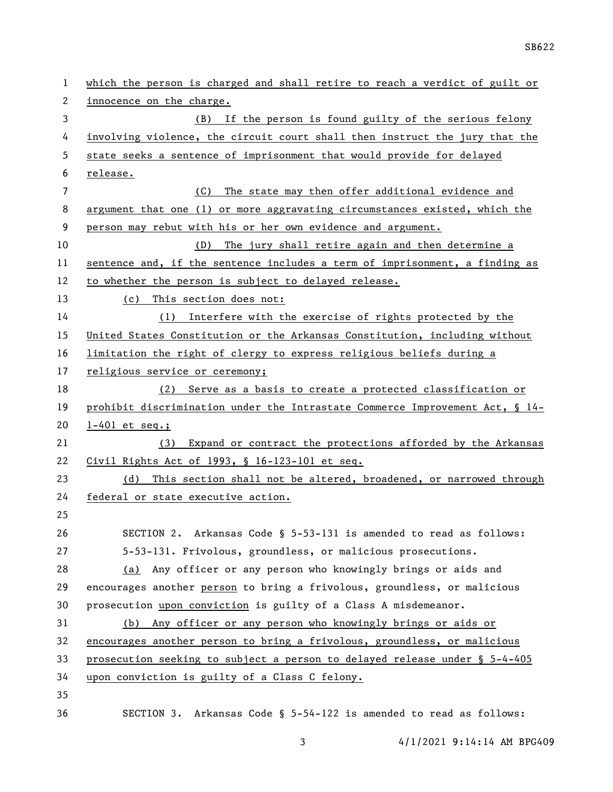| 1              | which the person is charged and shall retire to reach a verdict of guilt or  |
|----------------|------------------------------------------------------------------------------|
| 2              | innocence on the charge.                                                     |
| 3              | If the person is found guilty of the serious felony<br>(B)                   |
| 4              | involving violence, the circuit court shall then instruct the jury that the  |
| 5              | state seeks a sentence of imprisonment that would provide for delayed        |
| 6              | release.                                                                     |
| $\overline{7}$ | (C) The state may then offer additional evidence and                         |
| 8              | argument that one (1) or more aggravating circumstances existed, which the   |
| 9              | person may rebut with his or her own evidence and argument.                  |
| 10             | (D) The jury shall retire again and then determine a                         |
| 11             | sentence and, if the sentence includes a term of imprisonment, a finding as  |
| 12             | to whether the person is subject to delayed release.                         |
| 13             | (c) This section does not:                                                   |
| 14             | (1) Interfere with the exercise of rights protected by the                   |
| 15             | United States Constitution or the Arkansas Constitution, including without   |
| 16             | limitation the right of clergy to express religious beliefs during a         |
| 17             | religious service or ceremony;                                               |
| 18             | (2) Serve as a basis to create a protected classification or                 |
| 19             | prohibit discrimination under the Intrastate Commerce Improvement Act, § 14- |
| 20             | $1-401$ et seq.;                                                             |
| 21             | (3) Expand or contract the protections afforded by the Arkansas              |
| 22             | Civil Rights Act of 1993, § 16-123-101 et seq.                               |
| 23             | This section shall not be altered, broadened, or narrowed through<br>(d)     |
| 24             | federal or state executive action.                                           |
| 25             |                                                                              |
| 26             | SECTION 2. Arkansas Code § 5-53-131 is amended to read as follows:           |
| 27             | 5-53-131. Frivolous, groundless, or malicious prosecutions.                  |
| 28             | Any officer or any person who knowingly brings or aids and<br>(a)            |
| 29             | encourages another person to bring a frivolous, groundless, or malicious     |
| 30             | prosecution upon conviction is guilty of a Class A misdemeanor.              |
| 31             | (b) Any officer or any person who knowingly brings or aids or                |
| 32             | encourages another person to bring a frivolous, groundless, or malicious     |
| 33             | prosecution seeking to subject a person to delayed release under § 5-4-405   |
| 34             | upon conviction is guilty of a Class C felony.                               |
| 35             |                                                                              |
| 36             | SECTION 3. Arkansas Code § 5-54-122 is amended to read as follows:           |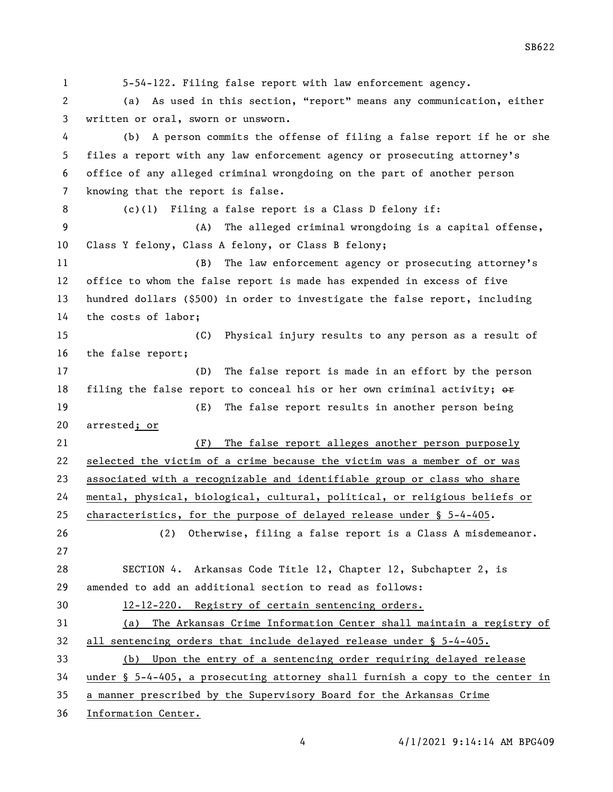5-54-122. Filing false report with law enforcement agency. (a) As used in this section, "report" means any communication, either written or oral, sworn or unsworn. (b) A person commits the offense of filing a false report if he or she files a report with any law enforcement agency or prosecuting attorney's office of any alleged criminal wrongdoing on the part of another person knowing that the report is false. (c)(1) Filing a false report is a Class D felony if: (A) The alleged criminal wrongdoing is a capital offense, Class Y felony, Class A felony, or Class B felony; (B) The law enforcement agency or prosecuting attorney's office to whom the false report is made has expended in excess of five hundred dollars (\$500) in order to investigate the false report, including the costs of labor; (C) Physical injury results to any person as a result of the false report; (D) The false report is made in an effort by the person 18 filing the false report to conceal his or her own criminal activity;  $\Theta$ \* (E) The false report results in another person being arrested; or (F) The false report alleges another person purposely selected the victim of a crime because the victim was a member of or was associated with a recognizable and identifiable group or class who share mental, physical, biological, cultural, political, or religious beliefs or characteristics, for the purpose of delayed release under § 5-4-405. (2) Otherwise, filing a false report is a Class A misdemeanor. SECTION 4. Arkansas Code Title 12, Chapter 12, Subchapter 2, is amended to add an additional section to read as follows: 12-12-220. Registry of certain sentencing orders. (a) The Arkansas Crime Information Center shall maintain a registry of all sentencing orders that include delayed release under § 5-4-405. (b) Upon the entry of a sentencing order requiring delayed release under § 5-4-405, a prosecuting attorney shall furnish a copy to the center in a manner prescribed by the Supervisory Board for the Arkansas Crime Information Center.

SB622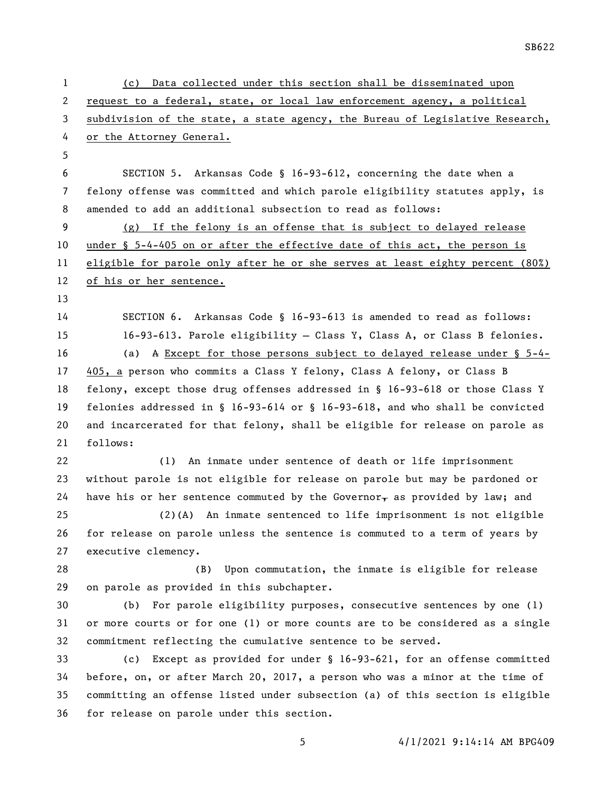(c) Data collected under this section shall be disseminated upon request to a federal, state, or local law enforcement agency, a political subdivision of the state, a state agency, the Bureau of Legislative Research, or the Attorney General. SECTION 5. Arkansas Code § 16-93-612, concerning the date when a felony offense was committed and which parole eligibility statutes apply, is amended to add an additional subsection to read as follows: (g) If the felony is an offense that is subject to delayed release under § 5-4-405 on or after the effective date of this act, the person is eligible for parole only after he or she serves at least eighty percent (80%) of his or her sentence. SECTION 6. Arkansas Code § 16-93-613 is amended to read as follows: 16-93-613. Parole eligibility — Class Y, Class A, or Class B felonies. (a) A Except for those persons subject to delayed release under § 5-4- 405, a person who commits a Class Y felony, Class A felony, or Class B felony, except those drug offenses addressed in § 16-93-618 or those Class Y felonies addressed in § 16-93-614 or § 16-93-618, and who shall be convicted and incarcerated for that felony, shall be eligible for release on parole as follows: (1) An inmate under sentence of death or life imprisonment without parole is not eligible for release on parole but may be pardoned or 24 have his or her sentence commuted by the Governor $_{\rm T}$  as provided by law; and (2)(A) An inmate sentenced to life imprisonment is not eligible for release on parole unless the sentence is commuted to a term of years by executive clemency. (B) Upon commutation, the inmate is eligible for release on parole as provided in this subchapter. (b) For parole eligibility purposes, consecutive sentences by one (1) or more courts or for one (1) or more counts are to be considered as a single commitment reflecting the cumulative sentence to be served. (c) Except as provided for under § 16-93-621, for an offense committed before, on, or after March 20, 2017, a person who was a minor at the time of committing an offense listed under subsection (a) of this section is eligible for release on parole under this section.